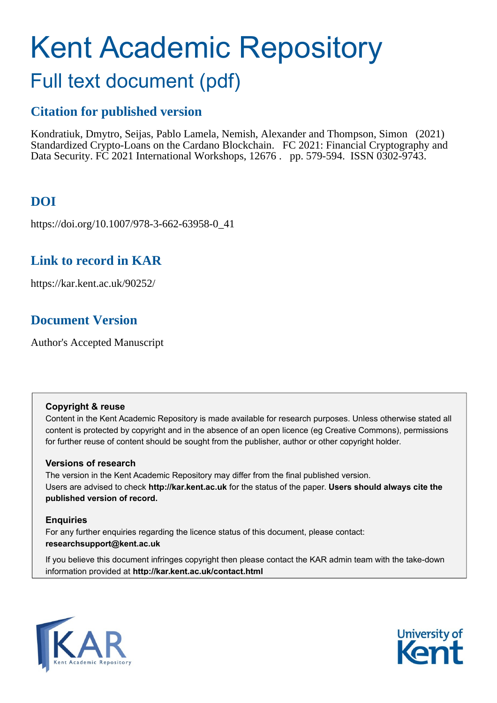# Kent Academic Repository

# Full text document (pdf)

# **Citation for published version**

Kondratiuk, Dmytro, Seijas, Pablo Lamela, Nemish, Alexander and Thompson, Simon (2021) Standardized Crypto-Loans on the Cardano Blockchain. FC 2021: Financial Cryptography and Data Security. FC 2021 International Workshops, 12676 . pp. 579-594. ISSN 0302-9743.

# **DOI**

https://doi.org/10.1007/978-3-662-63958-0\_41

# **Link to record in KAR**

https://kar.kent.ac.uk/90252/

# **Document Version**

Author's Accepted Manuscript

## **Copyright & reuse**

Content in the Kent Academic Repository is made available for research purposes. Unless otherwise stated all content is protected by copyright and in the absence of an open licence (eg Creative Commons), permissions for further reuse of content should be sought from the publisher, author or other copyright holder.

## **Versions of research**

The version in the Kent Academic Repository may differ from the final published version. Users are advised to check **http://kar.kent.ac.uk** for the status of the paper. **Users should always cite the published version of record.**

## **Enquiries**

For any further enquiries regarding the licence status of this document, please contact: **researchsupport@kent.ac.uk**

If you believe this document infringes copyright then please contact the KAR admin team with the take-down information provided at **http://kar.kent.ac.uk/contact.html**



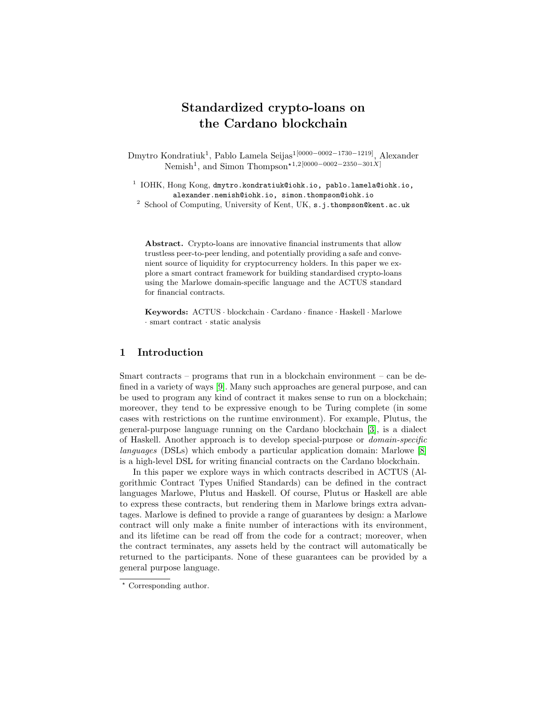## Standardized crypto-loans on the Cardano blockchain

Dmytro Kondratiuk<sup>1</sup>, Pablo Lamela Seijas<sup>1[0000−0002−1730−1219]</sup>, Alexander Nemish<sup>1</sup>, and Simon Thompson<sup>\*1,2[0000–0002–2350–301X]</sup>

 $^1$  IOHK, Hong Kong, dmytro.kondratiuk@iohk.io, pablo.lamela@iohk.io, alexander.nemish@iohk.io, simon.thompson@iohk.io

<sup>2</sup> School of Computing, University of Kent, UK, s.j.thompson@kent.ac.uk

Abstract. Crypto-loans are innovative financial instruments that allow trustless peer-to-peer lending, and potentially providing a safe and convenient source of liquidity for cryptocurrency holders. In this paper we explore a smart contract framework for building standardised crypto-loans using the Marlowe domain-specific language and the ACTUS standard for financial contracts.

Keywords: ACTUS · blockchain · Cardano · finance · Haskell · Marlowe · smart contract · static analysis

#### 1 Introduction

Smart contracts – programs that run in a blockchain environment – can be defined in a variety of ways [9]. Many such approaches are general purpose, and can be used to program any kind of contract it makes sense to run on a blockchain; moreover, they tend to be expressive enough to be Turing complete (in some cases with restrictions on the runtime environment). For example, Plutus, the general-purpose language running on the Cardano blockchain [3], is a dialect of Haskell. Another approach is to develop special-purpose or domain-specific languages (DSLs) which embody a particular application domain: Marlowe [8] is a high-level DSL for writing financial contracts on the Cardano blockchain.

In this paper we explore ways in which contracts described in ACTUS (Algorithmic Contract Types Unified Standards) can be defined in the contract languages Marlowe, Plutus and Haskell. Of course, Plutus or Haskell are able to express these contracts, but rendering them in Marlowe brings extra advantages. Marlowe is defined to provide a range of guarantees by design: a Marlowe contract will only make a finite number of interactions with its environment, and its lifetime can be read off from the code for a contract; moreover, when the contract terminates, any assets held by the contract will automatically be returned to the participants. None of these guarantees can be provided by a general purpose language.

<sup>?</sup> Corresponding author.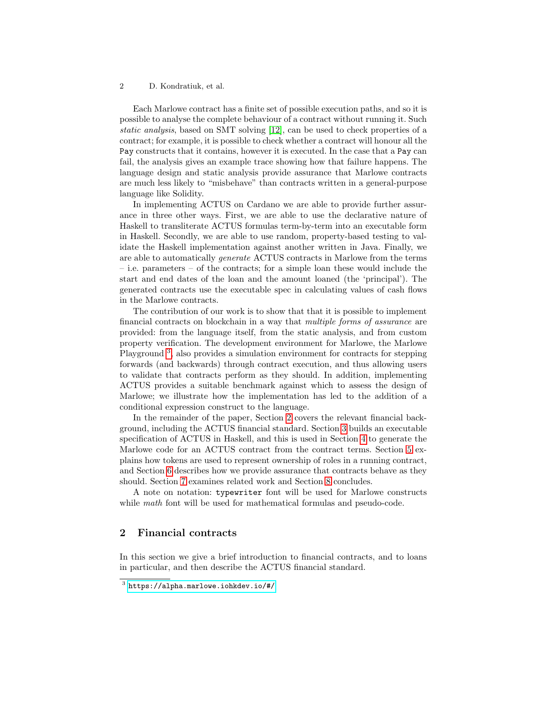Each Marlowe contract has a finite set of possible execution paths, and so it is possible to analyse the complete behaviour of a contract without running it. Such static analysis, based on SMT solving [12], can be used to check properties of a contract; for example, it is possible to check whether a contract will honour all the Pay constructs that it contains, however it is executed. In the case that a Pay can fail, the analysis gives an example trace showing how that failure happens. The language design and static analysis provide assurance that Marlowe contracts are much less likely to "misbehave" than contracts written in a general-purpose language like Solidity.

In implementing ACTUS on Cardano we are able to provide further assurance in three other ways. First, we are able to use the declarative nature of Haskell to transliterate ACTUS formulas term-by-term into an executable form in Haskell. Secondly, we are able to use random, property-based testing to validate the Haskell implementation against another written in Java. Finally, we are able to automatically generate ACTUS contracts in Marlowe from the terms – i.e. parameters – of the contracts; for a simple loan these would include the start and end dates of the loan and the amount loaned (the 'principal'). The generated contracts use the executable spec in calculating values of cash flows in the Marlowe contracts.

The contribution of our work is to show that that it is possible to implement financial contracts on blockchain in a way that multiple forms of assurance are provided: from the language itself, from the static analysis, and from custom property verification. The development environment for Marlowe, the Marlowe Playground<sup>3</sup>, also provides a simulation environment for contracts for stepping forwards (and backwards) through contract execution, and thus allowing users to validate that contracts perform as they should. In addition, implementing ACTUS provides a suitable benchmark against which to assess the design of Marlowe; we illustrate how the implementation has led to the addition of a conditional expression construct to the language.

In the remainder of the paper, Section 2 covers the relevant financial background, including the ACTUS financial standard. Section 3 builds an executable specification of ACTUS in Haskell, and this is used in Section 4 to generate the Marlowe code for an ACTUS contract from the contract terms. Section 5 explains how tokens are used to represent ownership of roles in a running contract, and Section 6 describes how we provide assurance that contracts behave as they should. Section 7 examines related work and Section 8 concludes.

A note on notation: typewriter font will be used for Marlowe constructs while *math* font will be used for mathematical formulas and pseudo-code.

#### 2 Financial contracts

In this section we give a brief introduction to financial contracts, and to loans in particular, and then describe the ACTUS financial standard.

 $^3$  <https://alpha.marlowe.iohkdev.io/#/>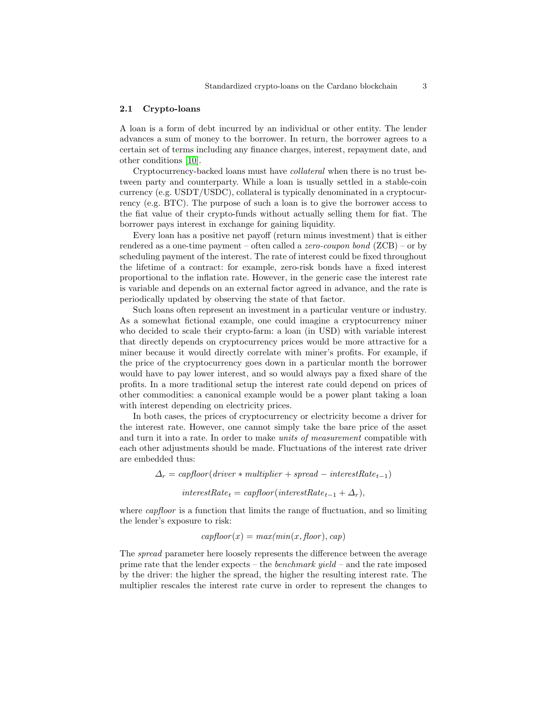#### 2.1 Crypto-loans

A loan is a form of debt incurred by an individual or other entity. The lender advances a sum of money to the borrower. In return, the borrower agrees to a certain set of terms including any finance charges, interest, repayment date, and other conditions [10].

Cryptocurrency-backed loans must have collateral when there is no trust between party and counterparty. While a loan is usually settled in a stable-coin currency (e.g. USDT/USDC), collateral is typically denominated in a cryptocurrency (e.g. BTC). The purpose of such a loan is to give the borrower access to the fiat value of their crypto-funds without actually selling them for fiat. The borrower pays interest in exchange for gaining liquidity.

Every loan has a positive net payoff (return minus investment) that is either rendered as a one-time payment – often called a *zero-coupon bond*  $(ZCB)$  – or by scheduling payment of the interest. The rate of interest could be fixed throughout the lifetime of a contract: for example, zero-risk bonds have a fixed interest proportional to the inflation rate. However, in the generic case the interest rate is variable and depends on an external factor agreed in advance, and the rate is periodically updated by observing the state of that factor.

Such loans often represent an investment in a particular venture or industry. As a somewhat fictional example, one could imagine a cryptocurrency miner who decided to scale their crypto-farm: a loan (in USD) with variable interest that directly depends on cryptocurrency prices would be more attractive for a miner because it would directly correlate with miner's profits. For example, if the price of the cryptocurrency goes down in a particular month the borrower would have to pay lower interest, and so would always pay a fixed share of the profits. In a more traditional setup the interest rate could depend on prices of other commodities: a canonical example would be a power plant taking a loan with interest depending on electricity prices.

In both cases, the prices of cryptocurrency or electricity become a driver for the interest rate. However, one cannot simply take the bare price of the asset and turn it into a rate. In order to make units of measurement compatible with each other adjustments should be made. Fluctuations of the interest rate driver are embedded thus:

 $\Delta_r = capfloor(driver * multiplier + spread - interestRate_{t-1})$ 

 $interestRate_t = capfloor(interestRate_{t-1} + \Delta_r),$ 

where *capfloor* is a function that limits the range of fluctuation, and so limiting the lender's exposure to risk:

$$
capfloor(x) = max(min(x, floor), cap)
$$

The spread parameter here loosely represents the difference between the average prime rate that the lender expects – the *benchmark yield* – and the rate imposed by the driver: the higher the spread, the higher the resulting interest rate. The multiplier rescales the interest rate curve in order to represent the changes to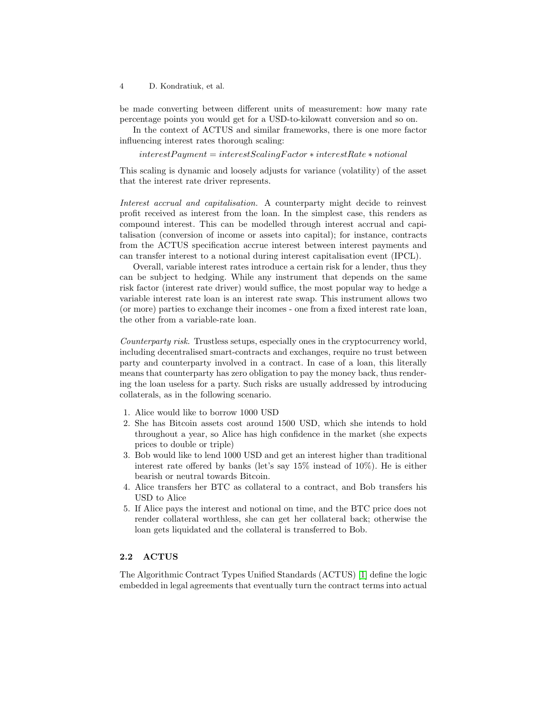be made converting between different units of measurement: how many rate percentage points you would get for a USD-to-kilowatt conversion and so on.

In the context of ACTUS and similar frameworks, there is one more factor influencing interest rates thorough scaling:

 $interestPayment = interestScalingFactor * interestRate * notional$ 

This scaling is dynamic and loosely adjusts for variance (volatility) of the asset that the interest rate driver represents.

Interest accrual and capitalisation. A counterparty might decide to reinvest profit received as interest from the loan. In the simplest case, this renders as compound interest. This can be modelled through interest accrual and capitalisation (conversion of income or assets into capital); for instance, contracts from the ACTUS specification accrue interest between interest payments and can transfer interest to a notional during interest capitalisation event (IPCL).

Overall, variable interest rates introduce a certain risk for a lender, thus they can be subject to hedging. While any instrument that depends on the same risk factor (interest rate driver) would suffice, the most popular way to hedge a variable interest rate loan is an interest rate swap. This instrument allows two (or more) parties to exchange their incomes - one from a fixed interest rate loan, the other from a variable-rate loan.

Counterparty risk. Trustless setups, especially ones in the cryptocurrency world, including decentralised smart-contracts and exchanges, require no trust between party and counterparty involved in a contract. In case of a loan, this literally means that counterparty has zero obligation to pay the money back, thus rendering the loan useless for a party. Such risks are usually addressed by introducing collaterals, as in the following scenario.

- 1. Alice would like to borrow 1000 USD
- 2. She has Bitcoin assets cost around 1500 USD, which she intends to hold throughout a year, so Alice has high confidence in the market (she expects prices to double or triple)
- 3. Bob would like to lend 1000 USD and get an interest higher than traditional interest rate offered by banks (let's say 15% instead of 10%). He is either bearish or neutral towards Bitcoin.
- 4. Alice transfers her BTC as collateral to a contract, and Bob transfers his USD to Alice
- 5. If Alice pays the interest and notional on time, and the BTC price does not render collateral worthless, she can get her collateral back; otherwise the loan gets liquidated and the collateral is transferred to Bob.

#### 2.2 ACTUS

The Algorithmic Contract Types Unified Standards (ACTUS) [1] define the logic embedded in legal agreements that eventually turn the contract terms into actual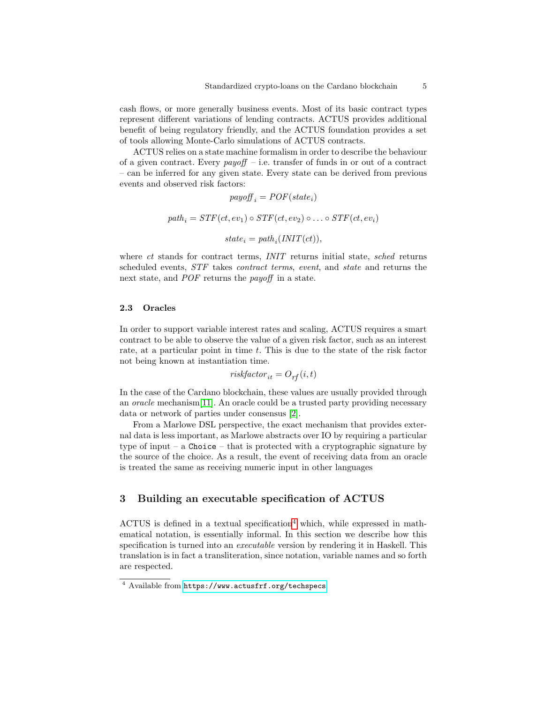cash flows, or more generally business events. Most of its basic contract types represent different variations of lending contracts. ACTUS provides additional benefit of being regulatory friendly, and the ACTUS foundation provides a set of tools allowing Monte-Carlo simulations of ACTUS contracts.

ACTUS relies on a state machine formalism in order to describe the behaviour of a given contract. Every  $payoff$  – i.e. transfer of funds in or out of a contract – can be inferred for any given state. Every state can be derived from previous events and observed risk factors:

$$
payoff_i = POF(state_i)
$$

$$
path_i = STF(ct, ev_1) \circ STF(ct, ev_2) \circ \dots \circ STF(ct, ev_i)
$$

$$
state_i = path_i(INIT(ct)),
$$

where  $ct$  stands for contract terms,  $INIT$  returns initial state, sched returns scheduled events, STF takes contract terms, event, and state and returns the next state, and POF returns the payoff in a state.

#### 2.3 Oracles

In order to support variable interest rates and scaling, ACTUS requires a smart contract to be able to observe the value of a given risk factor, such as an interest rate, at a particular point in time t. This is due to the state of the risk factor not being known at instantiation time.

 $\it risk factor_{it} = O_{rf}(i, t)$ 

In the case of the Cardano blockchain, these values are usually provided through an oracle mechanism[11]. An oracle could be a trusted party providing necessary data or network of parties under consensus [2].

From a Marlowe DSL perspective, the exact mechanism that provides external data is less important, as Marlowe abstracts over IO by requiring a particular type of input – a  $Choice$  – that is protected with a cryptographic signature by the source of the choice. As a result, the event of receiving data from an oracle is treated the same as receiving numeric input in other languages

#### 3 Building an executable specification of ACTUS

ACTUS is defined in a textual specification<sup>4</sup> which, while expressed in mathematical notation, is essentially informal. In this section we describe how this specification is turned into an *executable* version by rendering it in Haskell. This translation is in fact a transliteration, since notation, variable names and so forth are respected.

<sup>4</sup> Available from <https://www.actusfrf.org/techspecs>.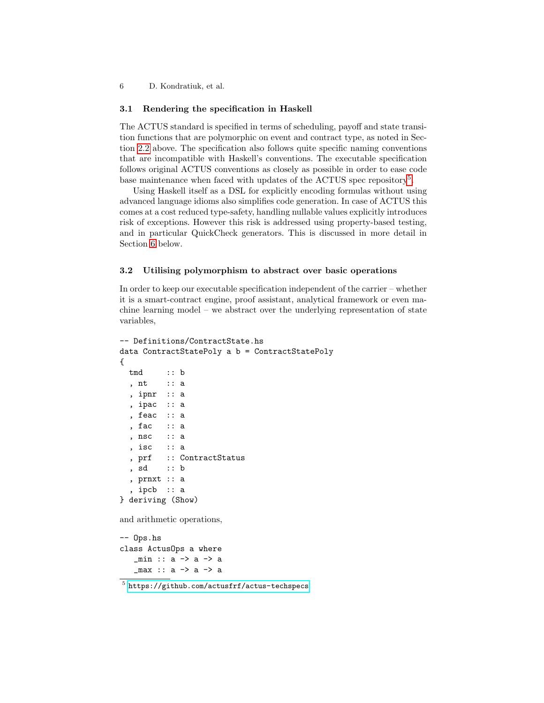#### 3.1 Rendering the specification in Haskell

The ACTUS standard is specified in terms of scheduling, payoff and state transition functions that are polymorphic on event and contract type, as noted in Section 2.2 above. The specification also follows quite specific naming conventions that are incompatible with Haskell's conventions. The executable specification follows original ACTUS conventions as closely as possible in order to ease code base maintenance when faced with updates of the ACTUS spec repository<sup>5</sup>.

Using Haskell itself as a DSL for explicitly encoding formulas without using advanced language idioms also simplifies code generation. In case of ACTUS this comes at a cost reduced type-safety, handling nullable values explicitly introduces risk of exceptions. However this risk is addressed using property-based testing, and in particular QuickCheck generators. This is discussed in more detail in Section 6 below.

#### 3.2 Utilising polymorphism to abstract over basic operations

In order to keep our executable specification independent of the carrier – whether it is a smart-contract engine, proof assistant, analytical framework or even machine learning model – we abstract over the underlying representation of state variables,

```
-- Definitions/ContractState.hs
data ContractStatePoly a b = ContractStatePoly
{
 tmd :: b
  , nt :: a
  , ipnr :: a
  , ipac :: a
  , feac :: a
  , fac :: a
  , nsc :: a
  , isc :: a
  , prf :: ContractStatus
   , sd :: b
  , prnxt :: a
  , ipcb :: a
} deriving (Show)
```
and arithmetic operations,

-- Ops.hs class ActusOps a where  $_{min}$  :: a  $\rightarrow$  a  $\rightarrow$  a \_max :: a -> a -> a

<sup>5</sup> <https://github.com/actusfrf/actus-techspecs>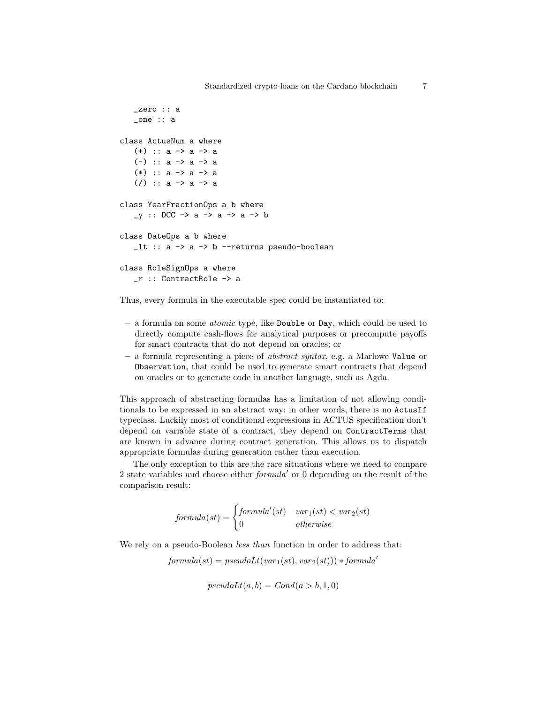```
_zero :: a
   _one :: a
class ActusNum a where
   (+) :: a -> a -> a
   (-) :: a -> a -> a
   (*) :: a -> a -> a
   (7) :: a -> a -> a
class YearFractionOps a b where
   -y :: DCC -> a -> a -> a -> b
class DateOps a b where
   It: a \rightarrow a \rightarrow b --returns pseudo-boolean
class RoleSignOps a where
   _r :: ContractRole -> a
```
Thus, every formula in the executable spec could be instantiated to:

- $-$  a formula on some *atomic* type, like Double or Day, which could be used to directly compute cash-flows for analytical purposes or precompute payoffs for smart contracts that do not depend on oracles; or
- a formula representing a piece of abstract syntax, e.g. a Marlowe Value or Observation, that could be used to generate smart contracts that depend on oracles or to generate code in another language, such as Agda.

This approach of abstracting formulas has a limitation of not allowing conditionals to be expressed in an abstract way: in other words, there is no ActusIf typeclass. Luckily most of conditional expressions in ACTUS specification don't depend on variable state of a contract, they depend on ContractTerms that are known in advance during contract generation. This allows us to dispatch appropriate formulas during generation rather than execution.

The only exception to this are the rare situations where we need to compare 2 state variables and choose either  $formula'$  or 0 depending on the result of the comparison result:

$$
formula(st) = \begin{cases} formula'(st) & var_1(st) < var_2(st) \\ 0 & otherwise \end{cases}
$$

We rely on a pseudo-Boolean *less than* function in order to address that:

 $formula(st) = pseudoLt(var_1(st), var_2(st))$  \* formula'

$$
pseudoLt(a,b) = Cond(a > b, 1, 0)
$$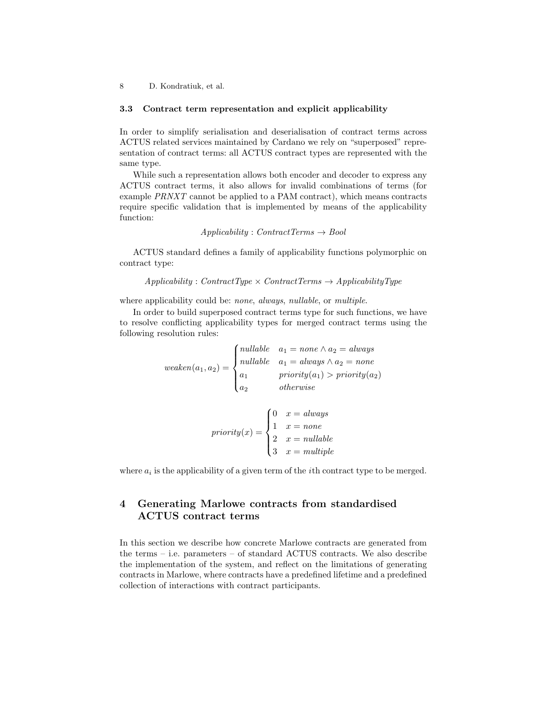#### 3.3 Contract term representation and explicit applicability

In order to simplify serialisation and deserialisation of contract terms across ACTUS related services maintained by Cardano we rely on "superposed" representation of contract terms: all ACTUS contract types are represented with the same type.

While such a representation allows both encoder and decoder to express any ACTUS contract terms, it also allows for invalid combinations of terms (for example PRNXT cannot be applied to a PAM contract), which means contracts require specific validation that is implemented by means of the applicability function:

```
Applicability: ContractTerms \rightarrow Bool
```
ACTUS standard defines a family of applicability functions polymorphic on contract type:

 $Applicability: ContractType \times ContractTerms \rightarrow ApplicabilityType$ 

where applicability could be: *none*, *always*, *nullable*, or *multiple*.

In order to build superposed contract terms type for such functions, we have to resolve conflicting applicability types for merged contract terms using the following resolution rules:

> $weaken(a_1, a_2) =$  $\sqrt{ }$  $\int$  $\overline{\mathcal{L}}$ nullable  $a_1 = none \wedge a_2 = always$ nullable  $a_1 = always \land a_2 = none$  $a_1$  priority $(a_1)$  > priority $(a_2)$  $a_2$  otherwise

$$
priority(x) = \begin{cases} 0 & x = always \\ 1 & x = none \\ 2 & x = nullable \\ 3 & x = multiple \end{cases}
$$

where  $a_i$  is the applicability of a given term of the *i*th contract type to be merged.

### 4 Generating Marlowe contracts from standardised ACTUS contract terms

In this section we describe how concrete Marlowe contracts are generated from the terms – i.e. parameters – of standard ACTUS contracts. We also describe the implementation of the system, and reflect on the limitations of generating contracts in Marlowe, where contracts have a predefined lifetime and a predefined collection of interactions with contract participants.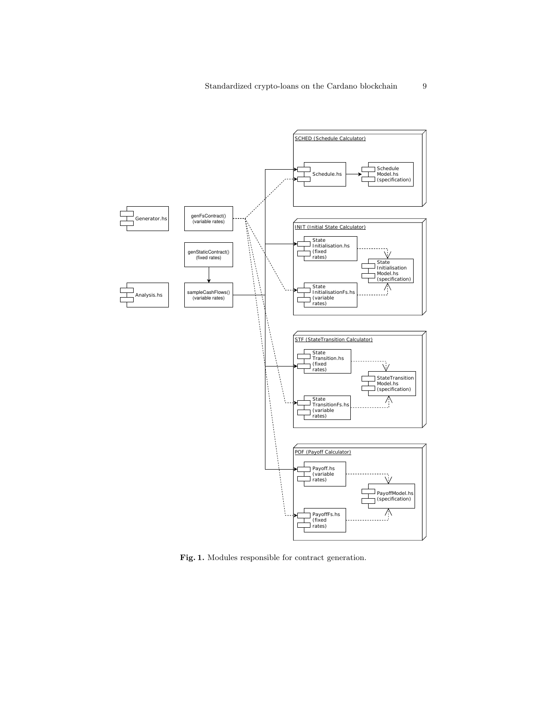

Fig. 1. Modules responsible for contract generation.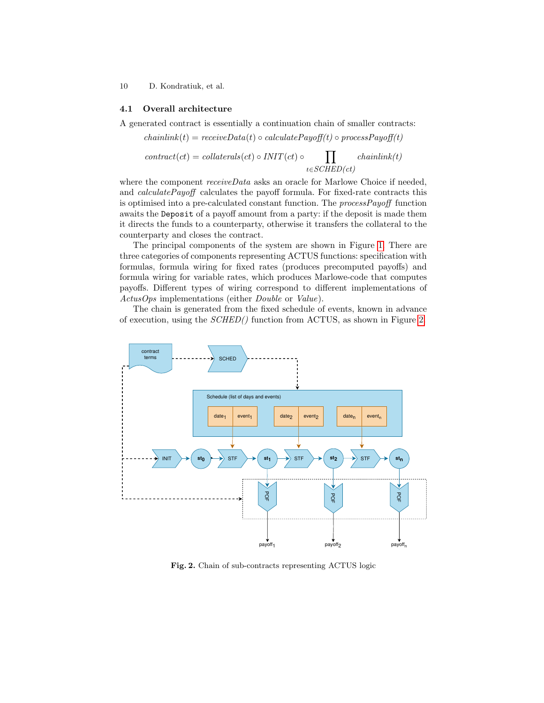#### 4.1 Overall architecture

A generated contract is essentially a continuation chain of smaller contracts:

 $chainlink(t) = receiveData(t) \circ calculatePayoff(t) \circ processPayoff(t)$  $contract(ct) = collaterals(ct) \circ INT(ct) \circ$  $\mathbf{H}$  $t \in SCHED(ct)$  $chainlink(t)$ 

where the component *receiveData* asks an oracle for Marlowe Choice if needed, and *calculatePayoff* calculates the payoff formula. For fixed-rate contracts this is optimised into a pre-calculated constant function. The processPayoff function awaits the Deposit of a payoff amount from a party: if the deposit is made them it directs the funds to a counterparty, otherwise it transfers the collateral to the counterparty and closes the contract.

The principal components of the system are shown in Figure 1. There are three categories of components representing ACTUS functions: specification with formulas, formula wiring for fixed rates (produces precomputed payoffs) and formula wiring for variable rates, which produces Marlowe-code that computes payoffs. Different types of wiring correspond to different implementations of ActusOps implementations (either Double or Value).

The chain is generated from the fixed schedule of events, known in advance of execution, using the SCHED() function from ACTUS, as shown in Figure 2.



Fig. 2. Chain of sub-contracts representing ACTUS logic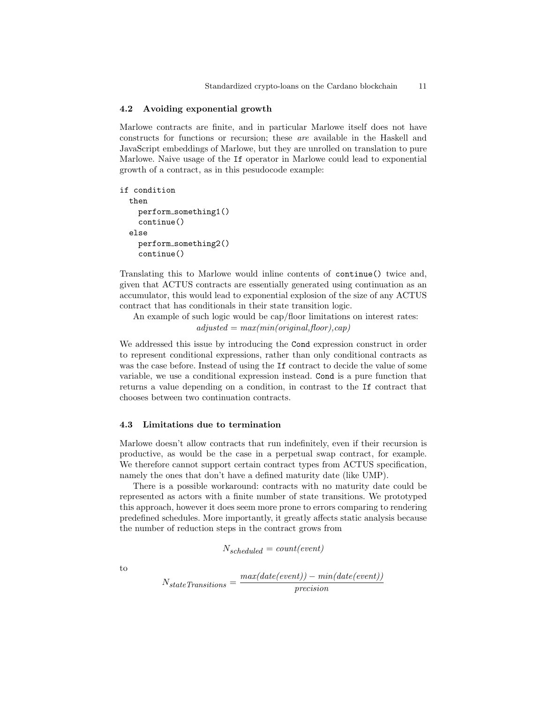#### 4.2 Avoiding exponential growth

Marlowe contracts are finite, and in particular Marlowe itself does not have constructs for functions or recursion; these are available in the Haskell and JavaScript embeddings of Marlowe, but they are unrolled on translation to pure Marlowe. Naive usage of the If operator in Marlowe could lead to exponential growth of a contract, as in this pesudocode example:

```
if condition
  then
    perform something1()
    continue()
  else
    perform something2()
    continue()
```
Translating this to Marlowe would inline contents of continue() twice and, given that ACTUS contracts are essentially generated using continuation as an accumulator, this would lead to exponential explosion of the size of any ACTUS contract that has conditionals in their state transition logic.

An example of such logic would be cap/floor limitations on interest rates:  $adjusted = max(min(original, floor), cap)$ 

We addressed this issue by introducing the Cond expression construct in order to represent conditional expressions, rather than only conditional contracts as was the case before. Instead of using the If contract to decide the value of some variable, we use a conditional expression instead. Cond is a pure function that returns a value depending on a condition, in contrast to the If contract that chooses between two continuation contracts.

#### 4.3 Limitations due to termination

Marlowe doesn't allow contracts that run indefinitely, even if their recursion is productive, as would be the case in a perpetual swap contract, for example. We therefore cannot support certain contract types from ACTUS specification, namely the ones that don't have a defined maturity date (like UMP).

There is a possible workaround: contracts with no maturity date could be represented as actors with a finite number of state transitions. We prototyped this approach, however it does seem more prone to errors comparing to rendering predefined schedules. More importantly, it greatly affects static analysis because the number of reduction steps in the contract grows from

$$
N_{\text{scheduled}} = \text{count}(\text{event})
$$

to

$$
N_{state\,Transitions} = \frac{max(data(event)) - min(data(event))}{precision}
$$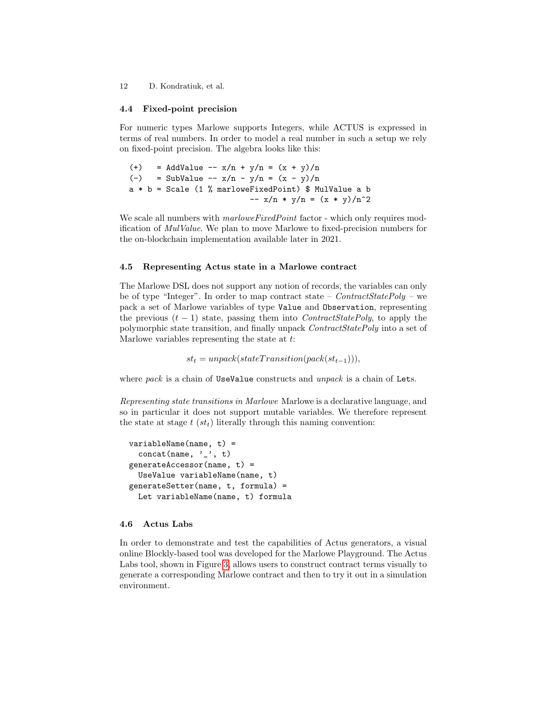#### 4.4 Fixed-point precision

For numeric types Marlowe supports Integers, while ACTUS is expressed in terms of real numbers. In order to model a real number in such a setup we rely on fixed-point precision. The algebra looks like this:

 $(+)$  = AddValue --  $x/n + y/n = (x + y)/n$  $(-)$  = SubValue --  $x/n - y/n = (x - y)/n$ a \* b = Scale (1 % marloweFixedPoint) \$ MulValue a b  $-$  x/n  $*$  y/n =  $(x * y)/n^2$ 

We scale all numbers with *marloweFixedPoint* factor - which only requires modification of MulValue. We plan to move Marlowe to fixed-precision numbers for the on-blockchain implementation available later in 2021.

#### 4.5 Representing Actus state in a Marlowe contract

The Marlowe DSL does not support any notion of records, the variables can only be of type "Integer". In order to map contract state –  $ContractStatePoly - we$ pack a set of Marlowe variables of type Value and Observation, representing the previous  $(t - 1)$  state, passing them into *ContractStatePoly*, to apply the polymorphic state transition, and finally unpack *ContractStatePoly* into a set of Marlowe variables representing the state at t:

 $st_t = unpack(stateTransition(pack(st_{t-1}))),$ 

where pack is a chain of UseValue constructs and unpack is a chain of Lets.

Representing state transitions in Marlowe Marlowe is a declarative language, and so in particular it does not support mutable variables. We therefore represent the state at stage  $t (st_t)$  literally through this naming convention:

```
variableName(name, t) =
  concat(name, ', ', t)
generateAccessor(name, t) =
  UseValue variableName(name, t)
generateSetter(name, t, formula) =
  Let variableName(name, t) formula
```
#### 4.6 Actus Labs

In order to demonstrate and test the capabilities of Actus generators, a visual online Blockly-based tool was developed for the Marlowe Playground. The Actus Labs tool, shown in Figure 3, allows users to construct contract terms visually to generate a corresponding Marlowe contract and then to try it out in a simulation environment.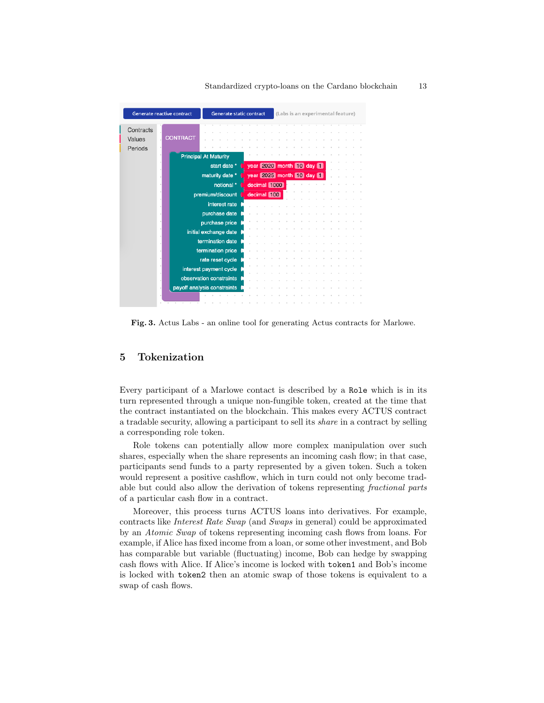

Fig. 3. Actus Labs - an online tool for generating Actus contracts for Marlowe.

## 5 Tokenization

Every participant of a Marlowe contact is described by a Role which is in its turn represented through a unique non-fungible token, created at the time that the contract instantiated on the blockchain. This makes every ACTUS contract a tradable security, allowing a participant to sell its share in a contract by selling a corresponding role token.

Role tokens can potentially allow more complex manipulation over such shares, especially when the share represents an incoming cash flow; in that case, participants send funds to a party represented by a given token. Such a token would represent a positive cashflow, which in turn could not only become tradable but could also allow the derivation of tokens representing fractional parts of a particular cash flow in a contract.

Moreover, this process turns ACTUS loans into derivatives. For example, contracts like Interest Rate Swap (and Swaps in general) could be approximated by an Atomic Swap of tokens representing incoming cash flows from loans. For example, if Alice has fixed income from a loan, or some other investment, and Bob has comparable but variable (fluctuating) income, Bob can hedge by swapping cash flows with Alice. If Alice's income is locked with token1 and Bob's income is locked with token2 then an atomic swap of those tokens is equivalent to a swap of cash flows.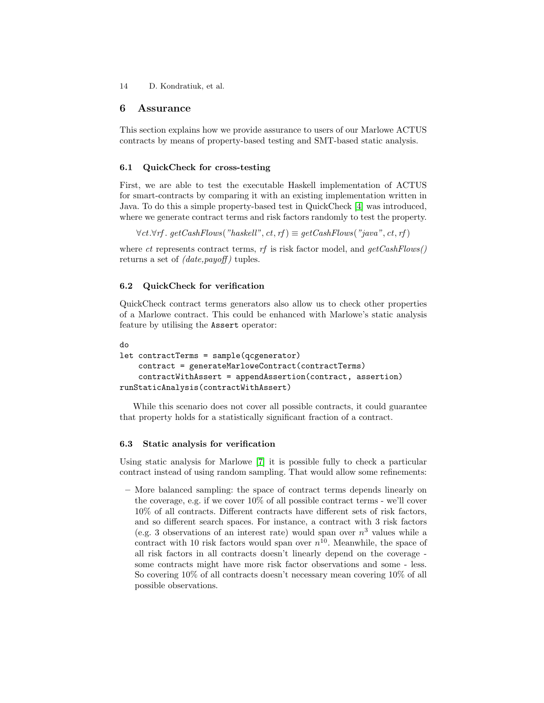#### 6 Assurance

This section explains how we provide assurance to users of our Marlowe ACTUS contracts by means of property-based testing and SMT-based static analysis.

#### 6.1 QuickCheck for cross-testing

First, we are able to test the executable Haskell implementation of ACTUS for smart-contracts by comparing it with an existing implementation written in Java. To do this a simple property-based test in QuickCheck [4] was introduced, where we generate contract terms and risk factors randomly to test the property.

 $\forall ct.\forall rf. getCashFlows("haskell", ct, rf) \equiv getCashFlows("java", ct, rf)$ 

where ct represents contract terms,  $rf$  is risk factor model, and  $getCashFlows()$ returns a set of  $(data, payoff)$  tuples.

#### 6.2 QuickCheck for verification

QuickCheck contract terms generators also allow us to check other properties of a Marlowe contract. This could be enhanced with Marlowe's static analysis feature by utilising the Assert operator:

```
do
let contractTerms = sample(qcgenerator)
    contract = generateMarloweContract(contractTerms)
    contractWithAssert = appendAssertion(contract, assertion)
runStaticAnalysis(contractWithAssert)
```
While this scenario does not cover all possible contracts, it could guarantee that property holds for a statistically significant fraction of a contract.

#### 6.3 Static analysis for verification

Using static analysis for Marlowe [7] it is possible fully to check a particular contract instead of using random sampling. That would allow some refinements:

– More balanced sampling: the space of contract terms depends linearly on the coverage, e.g. if we cover 10% of all possible contract terms - we'll cover 10% of all contracts. Different contracts have different sets of risk factors, and so different search spaces. For instance, a contract with 3 risk factors (e.g. 3 observations of an interest rate) would span over  $n^3$  values while a contract with 10 risk factors would span over  $n^{10}$ . Meanwhile, the space of all risk factors in all contracts doesn't linearly depend on the coverage some contracts might have more risk factor observations and some - less. So covering 10% of all contracts doesn't necessary mean covering 10% of all possible observations.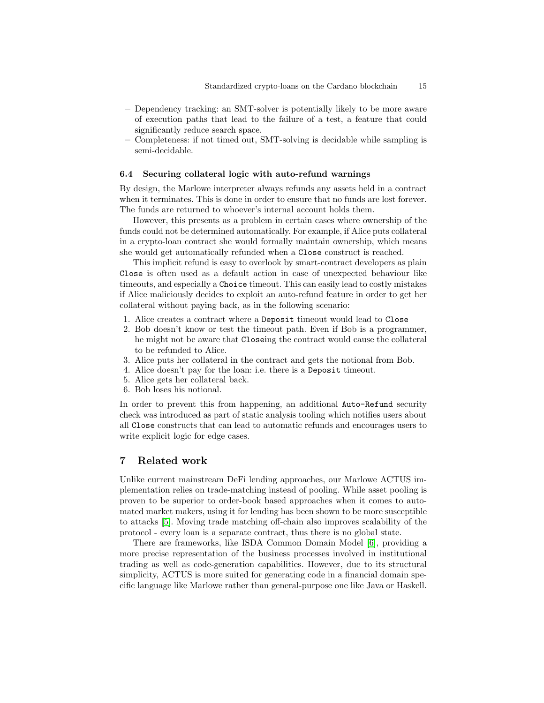- Dependency tracking: an SMT-solver is potentially likely to be more aware of execution paths that lead to the failure of a test, a feature that could significantly reduce search space.
- Completeness: if not timed out, SMT-solving is decidable while sampling is semi-decidable.

#### 6.4 Securing collateral logic with auto-refund warnings

By design, the Marlowe interpreter always refunds any assets held in a contract when it terminates. This is done in order to ensure that no funds are lost forever. The funds are returned to whoever's internal account holds them.

However, this presents as a problem in certain cases where ownership of the funds could not be determined automatically. For example, if Alice puts collateral in a crypto-loan contract she would formally maintain ownership, which means she would get automatically refunded when a Close construct is reached.

This implicit refund is easy to overlook by smart-contract developers as plain Close is often used as a default action in case of unexpected behaviour like timeouts, and especially a Choice timeout. This can easily lead to costly mistakes if Alice maliciously decides to exploit an auto-refund feature in order to get her collateral without paying back, as in the following scenario:

- 1. Alice creates a contract where a Deposit timeout would lead to Close
- 2. Bob doesn't know or test the timeout path. Even if Bob is a programmer, he might not be aware that Closeing the contract would cause the collateral to be refunded to Alice.
- 3. Alice puts her collateral in the contract and gets the notional from Bob.
- 4. Alice doesn't pay for the loan: i.e. there is a Deposit timeout.
- 5. Alice gets her collateral back.
- 6. Bob loses his notional.

In order to prevent this from happening, an additional Auto-Refund security check was introduced as part of static analysis tooling which notifies users about all Close constructs that can lead to automatic refunds and encourages users to write explicit logic for edge cases.

#### 7 Related work

Unlike current mainstream DeFi lending approaches, our Marlowe ACTUS implementation relies on trade-matching instead of pooling. While asset pooling is proven to be superior to order-book based approaches when it comes to automated market makers, using it for lending has been shown to be more susceptible to attacks [5]. Moving trade matching off-chain also improves scalability of the protocol - every loan is a separate contract, thus there is no global state.

There are frameworks, like ISDA Common Domain Model [6], providing a more precise representation of the business processes involved in institutional trading as well as code-generation capabilities. However, due to its structural simplicity, ACTUS is more suited for generating code in a financial domain specific language like Marlowe rather than general-purpose one like Java or Haskell.